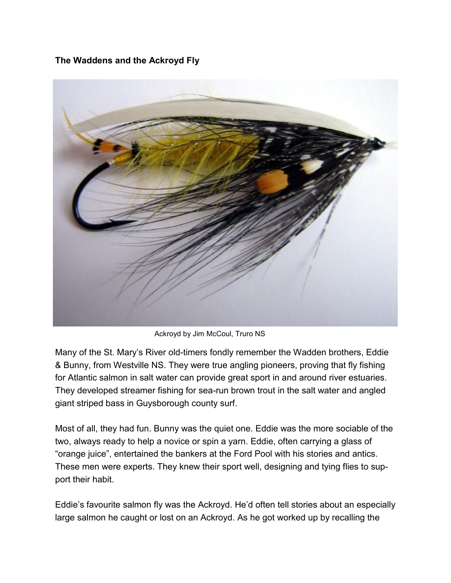**The Waddens and the Ackroyd Fly**



Ackroyd by Jim McCoul, Truro NS

Many of the St. Mary's River old-timers fondly remember the Wadden brothers, Eddie & Bunny, from Westville NS. They were true angling pioneers, proving that fly fishing for Atlantic salmon in salt water can provide great sport in and around river estuaries. They developed streamer fishing for sea-run brown trout in the salt water and angled giant striped bass in Guysborough county surf.

Most of all, they had fun. Bunny was the quiet one. Eddie was the more sociable of the two, always ready to help a novice or spin a yarn. Eddie, often carrying a glass of "orange juice", entertained the bankers at the Ford Pool with his stories and antics. These men were experts. They knew their sport well, designing and tying flies to support their habit.

Eddie's favourite salmon fly was the Ackroyd. He'd often tell stories about an especially large salmon he caught or lost on an Ackroyd. As he got worked up by recalling the